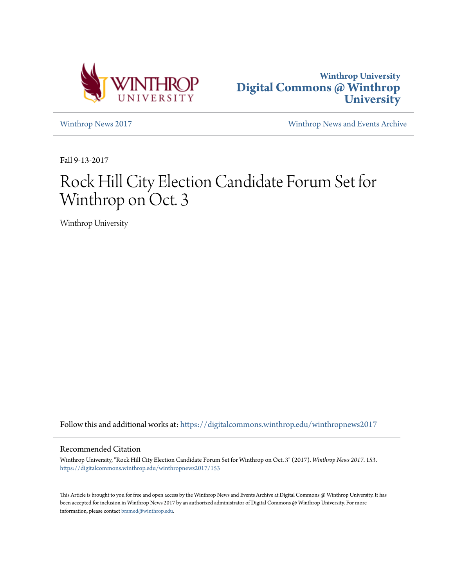



[Winthrop News 2017](https://digitalcommons.winthrop.edu/winthropnews2017?utm_source=digitalcommons.winthrop.edu%2Fwinthropnews2017%2F153&utm_medium=PDF&utm_campaign=PDFCoverPages) [Winthrop News and Events Archive](https://digitalcommons.winthrop.edu/winthropnewsarchives?utm_source=digitalcommons.winthrop.edu%2Fwinthropnews2017%2F153&utm_medium=PDF&utm_campaign=PDFCoverPages)

Fall 9-13-2017

## Rock Hill City Election Candidate Forum Set for Winthrop on Oct. 3

Winthrop University

Follow this and additional works at: [https://digitalcommons.winthrop.edu/winthropnews2017](https://digitalcommons.winthrop.edu/winthropnews2017?utm_source=digitalcommons.winthrop.edu%2Fwinthropnews2017%2F153&utm_medium=PDF&utm_campaign=PDFCoverPages)

## Recommended Citation

Winthrop University, "Rock Hill City Election Candidate Forum Set for Winthrop on Oct. 3" (2017). *Winthrop News 2017*. 153. [https://digitalcommons.winthrop.edu/winthropnews2017/153](https://digitalcommons.winthrop.edu/winthropnews2017/153?utm_source=digitalcommons.winthrop.edu%2Fwinthropnews2017%2F153&utm_medium=PDF&utm_campaign=PDFCoverPages)

This Article is brought to you for free and open access by the Winthrop News and Events Archive at Digital Commons @ Winthrop University. It has been accepted for inclusion in Winthrop News 2017 by an authorized administrator of Digital Commons @ Winthrop University. For more information, please contact [bramed@winthrop.edu](mailto:bramed@winthrop.edu).